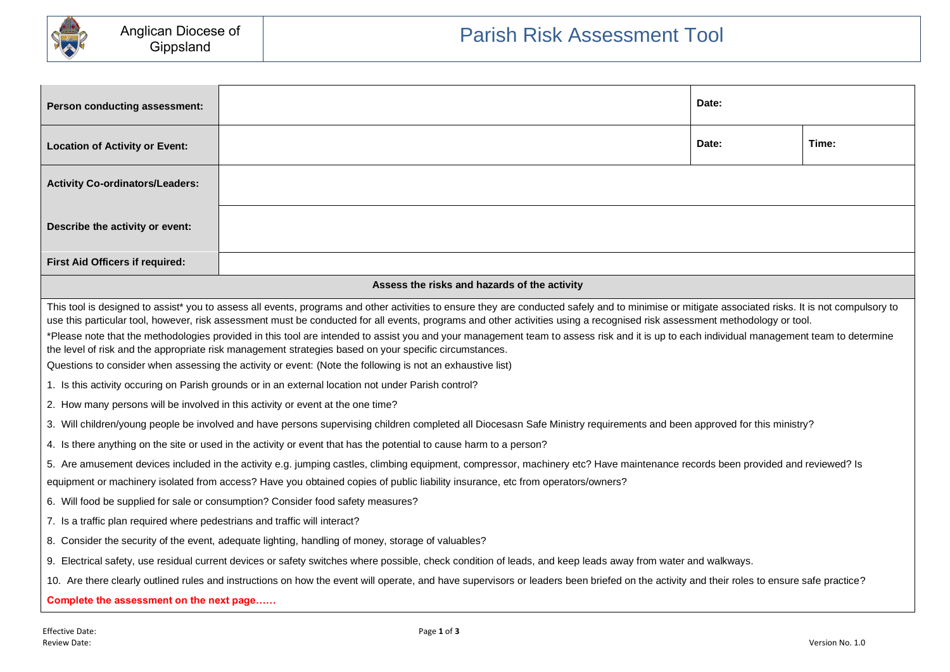

| <b>Person conducting assessment:</b>                                                                                                                                                                                                                                                                                                                                                                                                                                                                                                                                                                                                                                                                                                                                                                                                                                                                                                                                                            |                                              | Date: |  |  |  |  |
|-------------------------------------------------------------------------------------------------------------------------------------------------------------------------------------------------------------------------------------------------------------------------------------------------------------------------------------------------------------------------------------------------------------------------------------------------------------------------------------------------------------------------------------------------------------------------------------------------------------------------------------------------------------------------------------------------------------------------------------------------------------------------------------------------------------------------------------------------------------------------------------------------------------------------------------------------------------------------------------------------|----------------------------------------------|-------|--|--|--|--|
| <b>Location of Activity or Event:</b>                                                                                                                                                                                                                                                                                                                                                                                                                                                                                                                                                                                                                                                                                                                                                                                                                                                                                                                                                           | Date:                                        |       |  |  |  |  |
| <b>Activity Co-ordinators/Leaders:</b>                                                                                                                                                                                                                                                                                                                                                                                                                                                                                                                                                                                                                                                                                                                                                                                                                                                                                                                                                          |                                              |       |  |  |  |  |
| Describe the activity or event:                                                                                                                                                                                                                                                                                                                                                                                                                                                                                                                                                                                                                                                                                                                                                                                                                                                                                                                                                                 |                                              |       |  |  |  |  |
| First Aid Officers if required:                                                                                                                                                                                                                                                                                                                                                                                                                                                                                                                                                                                                                                                                                                                                                                                                                                                                                                                                                                 |                                              |       |  |  |  |  |
|                                                                                                                                                                                                                                                                                                                                                                                                                                                                                                                                                                                                                                                                                                                                                                                                                                                                                                                                                                                                 | Assess the risks and hazards of the activity |       |  |  |  |  |
| This tool is designed to assist* you to assess all events, programs and other activities to ensure they are conducted safely and to minimise or mitigate associated risks. It is not compulsory to<br>use this particular tool, however, risk assessment must be conducted for all events, programs and other activities using a recognised risk assessment methodology or tool.<br>*Please note that the methodologies provided in this tool are intended to assist you and your management team to assess risk and it is up to each individual management team to determine<br>the level of risk and the appropriate risk management strategies based on your specific circumstances.<br>Questions to consider when assessing the activity or event: (Note the following is not an exhaustive list)<br>1. Is this activity occuring on Parish grounds or in an external location not under Parish control?<br>2. How many persons will be involved in this activity or event at the one time? |                                              |       |  |  |  |  |
| 3. Will children/young people be involved and have persons supervising children completed all Diocesasn Safe Ministry requirements and been approved for this ministry?                                                                                                                                                                                                                                                                                                                                                                                                                                                                                                                                                                                                                                                                                                                                                                                                                         |                                              |       |  |  |  |  |
| 4. Is there anything on the site or used in the activity or event that has the potential to cause harm to a person?                                                                                                                                                                                                                                                                                                                                                                                                                                                                                                                                                                                                                                                                                                                                                                                                                                                                             |                                              |       |  |  |  |  |
| 5. Are amusement devices included in the activity e.g. jumping castles, climbing equipment, compressor, machinery etc? Have maintenance records been provided and reviewed? Is<br>equipment or machinery isolated from access? Have you obtained copies of public liability insurance, etc from operators/owners?                                                                                                                                                                                                                                                                                                                                                                                                                                                                                                                                                                                                                                                                               |                                              |       |  |  |  |  |
| 6. Will food be supplied for sale or consumption? Consider food safety measures?                                                                                                                                                                                                                                                                                                                                                                                                                                                                                                                                                                                                                                                                                                                                                                                                                                                                                                                |                                              |       |  |  |  |  |
| 7. Is a traffic plan required where pedestrians and traffic will interact?                                                                                                                                                                                                                                                                                                                                                                                                                                                                                                                                                                                                                                                                                                                                                                                                                                                                                                                      |                                              |       |  |  |  |  |
| 8. Consider the security of the event, adequate lighting, handling of money, storage of valuables?                                                                                                                                                                                                                                                                                                                                                                                                                                                                                                                                                                                                                                                                                                                                                                                                                                                                                              |                                              |       |  |  |  |  |
| 9. Electrical safety, use residual current devices or safety switches where possible, check condition of leads, and keep leads away from water and walkways.                                                                                                                                                                                                                                                                                                                                                                                                                                                                                                                                                                                                                                                                                                                                                                                                                                    |                                              |       |  |  |  |  |
| 10. Are there clearly outlined rules and instructions on how the event will operate, and have supervisors or leaders been briefed on the activity and their roles to ensure safe practice?                                                                                                                                                                                                                                                                                                                                                                                                                                                                                                                                                                                                                                                                                                                                                                                                      |                                              |       |  |  |  |  |
| Complete the assessment on the next page                                                                                                                                                                                                                                                                                                                                                                                                                                                                                                                                                                                                                                                                                                                                                                                                                                                                                                                                                        |                                              |       |  |  |  |  |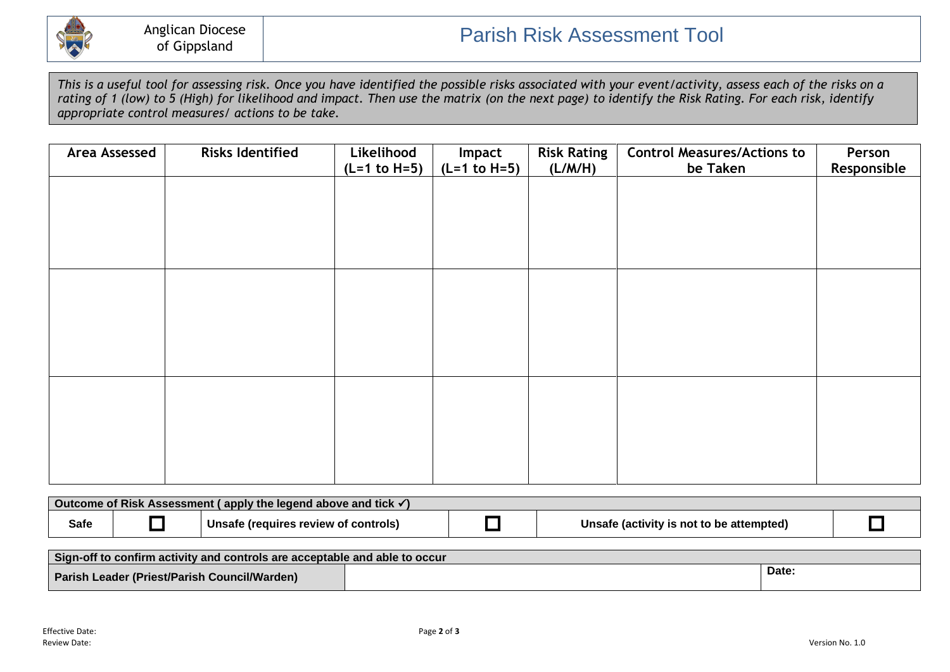

*This is a useful tool for assessing risk. Once you have identified the possible risks associated with your event/activity, assess each of the risks on a rating of 1 (low) to 5 (High) for likelihood and impact. Then use the matrix (on the next page) to identify the Risk Rating. For each risk, identify appropriate control measures/ actions to be take.*

| <b>Area Assessed</b> | <b>Risks Identified</b> | Likelihood<br>$(L=1 to H=5)$ | Impact<br>$(L=1 to H=5)$ | <b>Risk Rating</b><br>(L/M/H) | <b>Control Measures/Actions to</b><br>be Taken | Person<br>Responsible |
|----------------------|-------------------------|------------------------------|--------------------------|-------------------------------|------------------------------------------------|-----------------------|
|                      |                         |                              |                          |                               |                                                |                       |
|                      |                         |                              |                          |                               |                                                |                       |
|                      |                         |                              |                          |                               |                                                |                       |
|                      |                         |                              |                          |                               |                                                |                       |
|                      |                         |                              |                          |                               |                                                |                       |
|                      |                         |                              |                          |                               |                                                |                       |
|                      |                         |                              |                          |                               |                                                |                       |
|                      |                         |                              |                          |                               |                                                |                       |
|                      |                         |                              |                          |                               |                                                |                       |
|                      |                         |                              |                          |                               |                                                |                       |

| Outcome of Risk Assessment (apply the legend above and tick $\checkmark$ ) |  |                                      |  |                                          |  |
|----------------------------------------------------------------------------|--|--------------------------------------|--|------------------------------------------|--|
| Safe                                                                       |  | Unsate (requires review of controls) |  | Unsafe (activity is not to be attempted) |  |

| Sign-off to confirm activity and controls are acceptable and able to occur |  |       |  |  |
|----------------------------------------------------------------------------|--|-------|--|--|
| Parish Leader (Priest/Parish Council/Warden)                               |  | Date. |  |  |